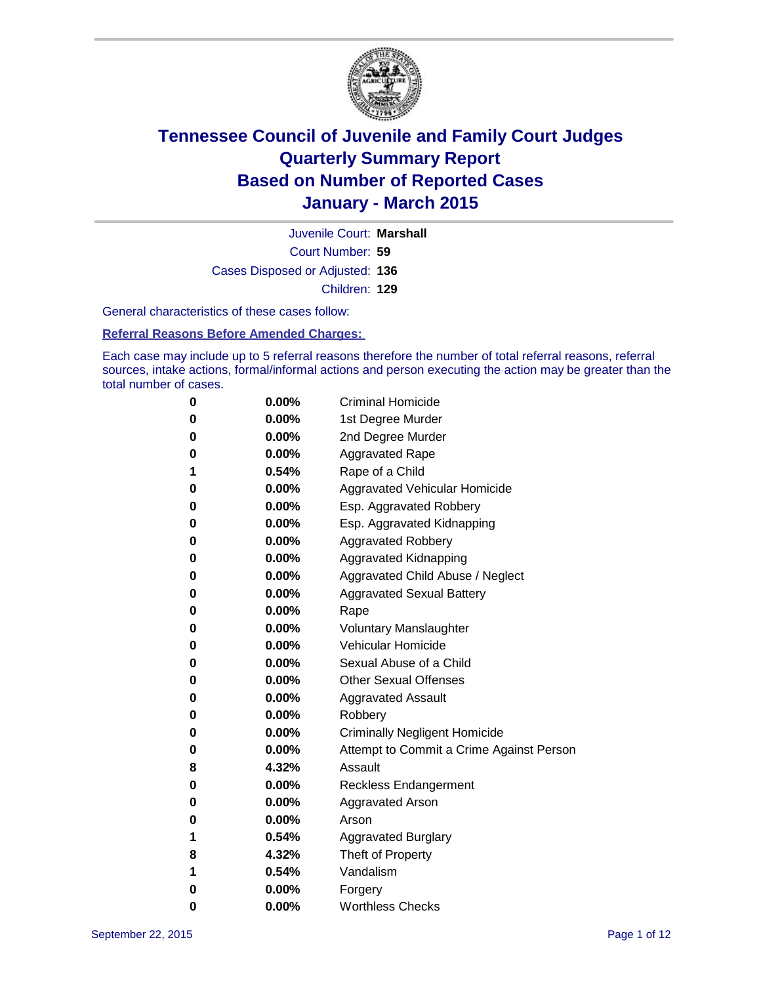

Court Number: **59** Juvenile Court: **Marshall** Cases Disposed or Adjusted: **136** Children: **129**

General characteristics of these cases follow:

**Referral Reasons Before Amended Charges:** 

Each case may include up to 5 referral reasons therefore the number of total referral reasons, referral sources, intake actions, formal/informal actions and person executing the action may be greater than the total number of cases.

| 0        | $0.00\%$ | <b>Criminal Homicide</b>                 |
|----------|----------|------------------------------------------|
| 0        | $0.00\%$ | 1st Degree Murder                        |
| $\bf{0}$ | $0.00\%$ | 2nd Degree Murder                        |
| 0        | $0.00\%$ | <b>Aggravated Rape</b>                   |
| 1        | 0.54%    | Rape of a Child                          |
| 0        | $0.00\%$ | Aggravated Vehicular Homicide            |
| $\bf{0}$ | $0.00\%$ | Esp. Aggravated Robbery                  |
| 0        | $0.00\%$ | Esp. Aggravated Kidnapping               |
| $\bf{0}$ | $0.00\%$ | <b>Aggravated Robbery</b>                |
| $\bf{0}$ | $0.00\%$ | <b>Aggravated Kidnapping</b>             |
| 0        | 0.00%    | Aggravated Child Abuse / Neglect         |
| 0        | 0.00%    | <b>Aggravated Sexual Battery</b>         |
| $\bf{0}$ | $0.00\%$ | Rape                                     |
| 0        | $0.00\%$ | <b>Voluntary Manslaughter</b>            |
| 0        | $0.00\%$ | <b>Vehicular Homicide</b>                |
| $\bf{0}$ | $0.00\%$ | Sexual Abuse of a Child                  |
| $\bf{0}$ | $0.00\%$ | <b>Other Sexual Offenses</b>             |
| 0        | $0.00\%$ | <b>Aggravated Assault</b>                |
| 0        | $0.00\%$ | Robbery                                  |
| $\bf{0}$ | $0.00\%$ | <b>Criminally Negligent Homicide</b>     |
| 0        | $0.00\%$ | Attempt to Commit a Crime Against Person |
| 8        | 4.32%    | Assault                                  |
| 0        | $0.00\%$ | <b>Reckless Endangerment</b>             |
| 0        | $0.00\%$ | <b>Aggravated Arson</b>                  |
| 0        | $0.00\%$ | Arson                                    |
| 1        | 0.54%    | <b>Aggravated Burglary</b>               |
| 8        | 4.32%    | Theft of Property                        |
| 1        | 0.54%    | Vandalism                                |
| $\bf{0}$ | $0.00\%$ | Forgery                                  |
| 0        | 0.00%    | <b>Worthless Checks</b>                  |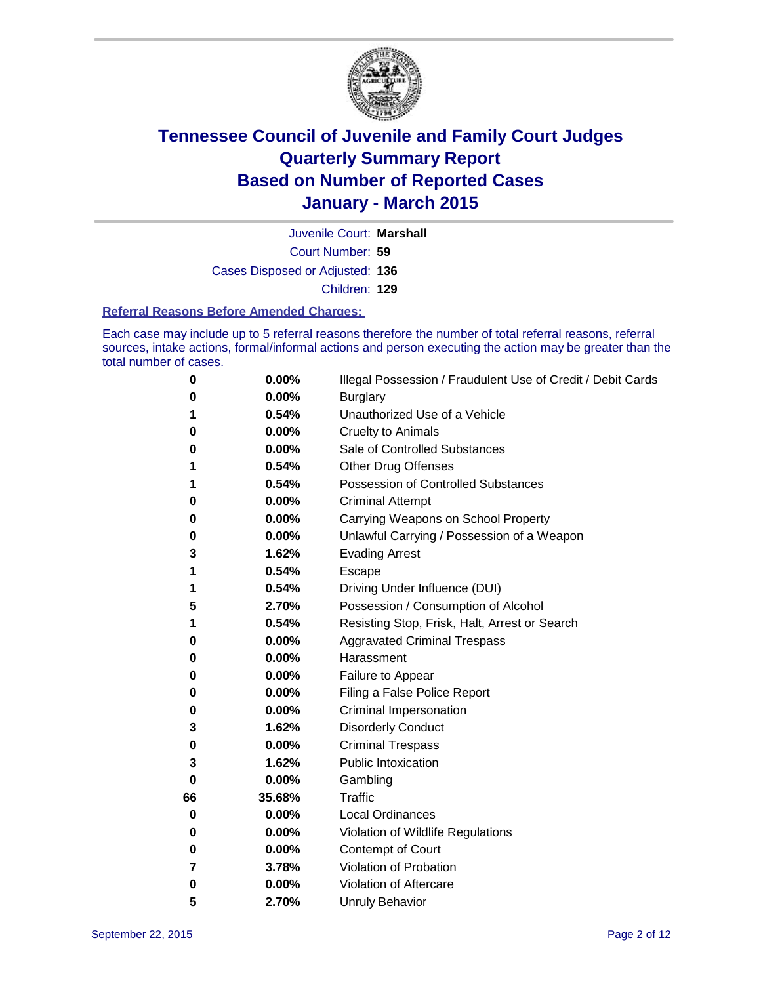

Court Number: **59** Juvenile Court: **Marshall** Cases Disposed or Adjusted: **136** Children: **129**

#### **Referral Reasons Before Amended Charges:**

Each case may include up to 5 referral reasons therefore the number of total referral reasons, referral sources, intake actions, formal/informal actions and person executing the action may be greater than the total number of cases.

| 0        | 0.00%  | Illegal Possession / Fraudulent Use of Credit / Debit Cards |
|----------|--------|-------------------------------------------------------------|
| 0        | 0.00%  | <b>Burglary</b>                                             |
| 1        | 0.54%  | Unauthorized Use of a Vehicle                               |
| 0        | 0.00%  | <b>Cruelty to Animals</b>                                   |
| 0        | 0.00%  | Sale of Controlled Substances                               |
| 1        | 0.54%  | <b>Other Drug Offenses</b>                                  |
| 1        | 0.54%  | <b>Possession of Controlled Substances</b>                  |
| 0        | 0.00%  | <b>Criminal Attempt</b>                                     |
| 0        | 0.00%  | Carrying Weapons on School Property                         |
| 0        | 0.00%  | Unlawful Carrying / Possession of a Weapon                  |
| 3        | 1.62%  | <b>Evading Arrest</b>                                       |
| 1        | 0.54%  | Escape                                                      |
| 1        | 0.54%  | Driving Under Influence (DUI)                               |
| 5        | 2.70%  | Possession / Consumption of Alcohol                         |
| 1        | 0.54%  | Resisting Stop, Frisk, Halt, Arrest or Search               |
| 0        | 0.00%  | <b>Aggravated Criminal Trespass</b>                         |
| 0        | 0.00%  | Harassment                                                  |
| 0        | 0.00%  | Failure to Appear                                           |
| 0        | 0.00%  | Filing a False Police Report                                |
| 0        | 0.00%  | Criminal Impersonation                                      |
| 3        | 1.62%  | <b>Disorderly Conduct</b>                                   |
| 0        | 0.00%  | <b>Criminal Trespass</b>                                    |
| 3        | 1.62%  | <b>Public Intoxication</b>                                  |
| $\bf{0}$ | 0.00%  | Gambling                                                    |
| 66       | 35.68% | <b>Traffic</b>                                              |
| 0        | 0.00%  | <b>Local Ordinances</b>                                     |
| 0        | 0.00%  | Violation of Wildlife Regulations                           |
| 0        | 0.00%  | Contempt of Court                                           |
| 7        | 3.78%  | Violation of Probation                                      |
| 0        | 0.00%  | Violation of Aftercare                                      |
| 5        | 2.70%  | <b>Unruly Behavior</b>                                      |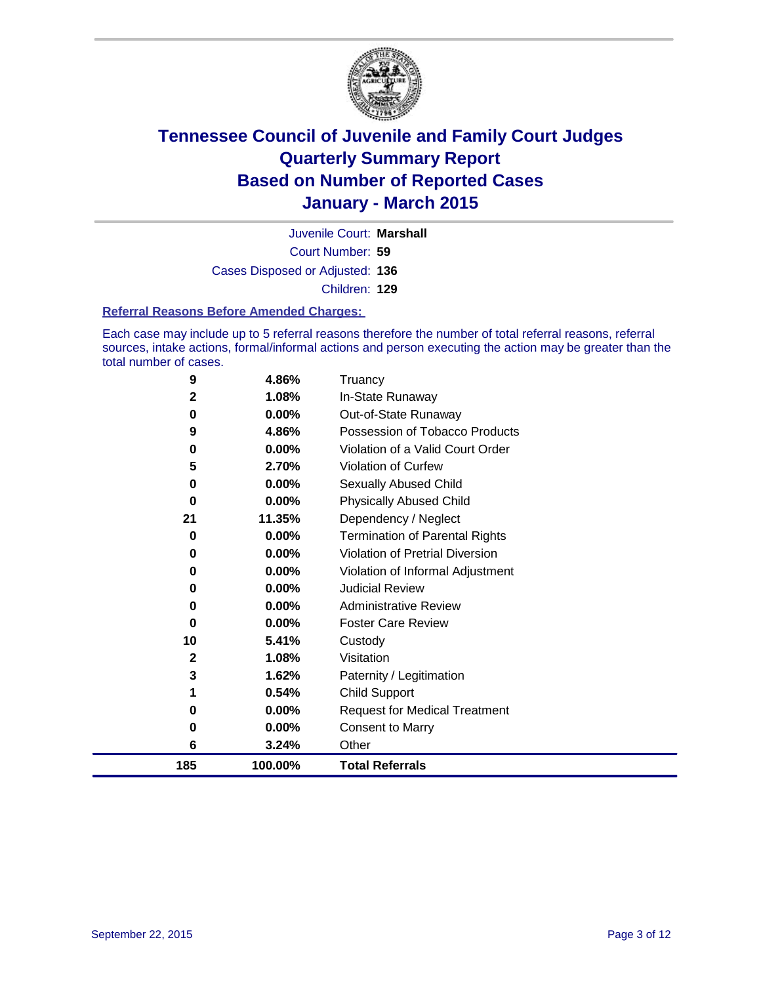

Court Number: **59** Juvenile Court: **Marshall** Cases Disposed or Adjusted: **136** Children: **129**

#### **Referral Reasons Before Amended Charges:**

Each case may include up to 5 referral reasons therefore the number of total referral reasons, referral sources, intake actions, formal/informal actions and person executing the action may be greater than the total number of cases.

| 9            | 4.86%    | Truancy                               |
|--------------|----------|---------------------------------------|
| 2            | 1.08%    | In-State Runaway                      |
| 0            | 0.00%    | Out-of-State Runaway                  |
| 9            | 4.86%    | Possession of Tobacco Products        |
| 0            | $0.00\%$ | Violation of a Valid Court Order      |
| 5            | 2.70%    | <b>Violation of Curfew</b>            |
| 0            | 0.00%    | Sexually Abused Child                 |
| 0            | 0.00%    | <b>Physically Abused Child</b>        |
| 21           | 11.35%   | Dependency / Neglect                  |
| 0            | 0.00%    | <b>Termination of Parental Rights</b> |
| 0            | 0.00%    | Violation of Pretrial Diversion       |
| 0            | 0.00%    | Violation of Informal Adjustment      |
| 0            | 0.00%    | <b>Judicial Review</b>                |
| 0            | 0.00%    | <b>Administrative Review</b>          |
| 0            | 0.00%    | <b>Foster Care Review</b>             |
| 10           | 5.41%    | Custody                               |
| $\mathbf{2}$ | 1.08%    | Visitation                            |
| 3            | 1.62%    | Paternity / Legitimation              |
|              | 0.54%    | <b>Child Support</b>                  |
| 0            | 0.00%    | <b>Request for Medical Treatment</b>  |
| 0            | 0.00%    | <b>Consent to Marry</b>               |
| 6            | 3.24%    | Other                                 |
| 185          | 100.00%  | <b>Total Referrals</b>                |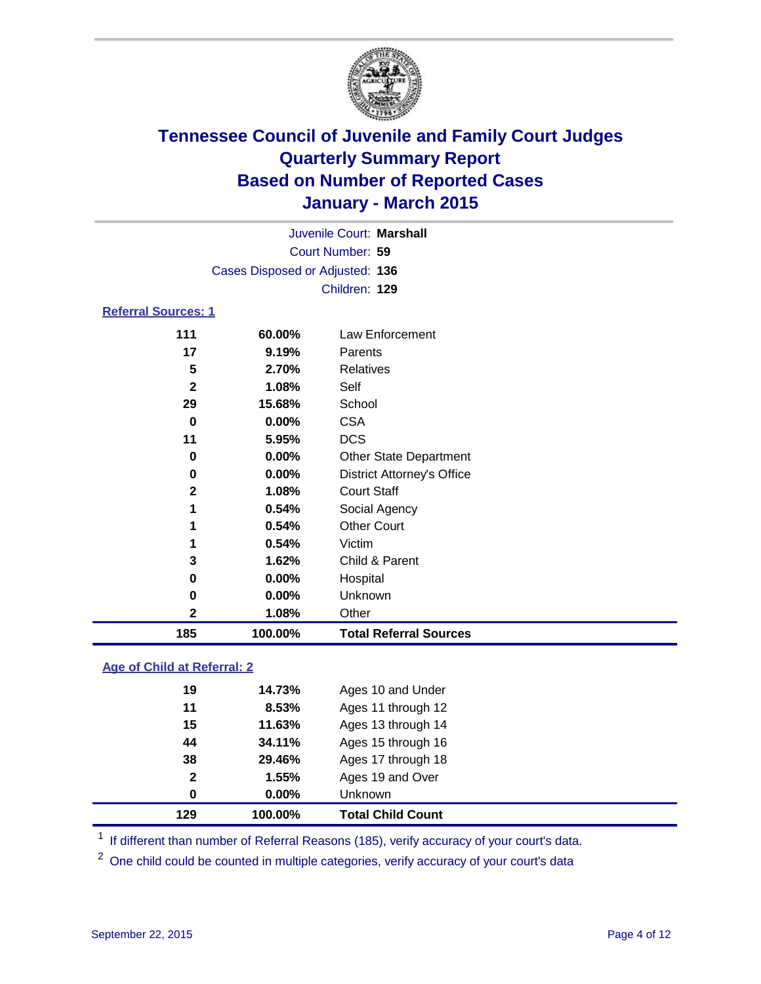

| Juvenile Court: Marshall        |  |
|---------------------------------|--|
| Court Number: 59                |  |
| Cases Disposed or Adjusted: 136 |  |
| Children: 129                   |  |
| <b>Referral Sources: 1</b>      |  |

| 185          | 100.00%  | <b>Total Referral Sources</b>     |
|--------------|----------|-----------------------------------|
| 2            | 1.08%    | Other                             |
| 0            | 0.00%    | Unknown                           |
| 0            | 0.00%    | Hospital                          |
| 3            | 1.62%    | Child & Parent                    |
|              | 0.54%    | Victim                            |
| 1            | 0.54%    | <b>Other Court</b>                |
| 1            | 0.54%    | Social Agency                     |
| $\mathbf{2}$ | 1.08%    | <b>Court Staff</b>                |
| 0            | 0.00%    | <b>District Attorney's Office</b> |
| 0            | $0.00\%$ | <b>Other State Department</b>     |
| 11           | 5.95%    | <b>DCS</b>                        |
| 0            | 0.00%    | <b>CSA</b>                        |
| 29           | 15.68%   | School                            |
| $\mathbf{2}$ | 1.08%    | Self                              |
| 5            | 2.70%    | <b>Relatives</b>                  |
| 17           | 9.19%    | Parents                           |
| 111          | 60.00%   | Law Enforcement                   |

### **Age of Child at Referral: 2**

| 129          | 100.00% | <b>Total Child Count</b> |
|--------------|---------|--------------------------|
| 0            | 0.00%   | Unknown                  |
| $\mathbf{2}$ | 1.55%   | Ages 19 and Over         |
| 38           | 29.46%  | Ages 17 through 18       |
| 44           | 34.11%  | Ages 15 through 16       |
| 15           | 11.63%  | Ages 13 through 14       |
| 11           | 8.53%   | Ages 11 through 12       |
| 19           | 14.73%  | Ages 10 and Under        |

<sup>1</sup> If different than number of Referral Reasons (185), verify accuracy of your court's data.

One child could be counted in multiple categories, verify accuracy of your court's data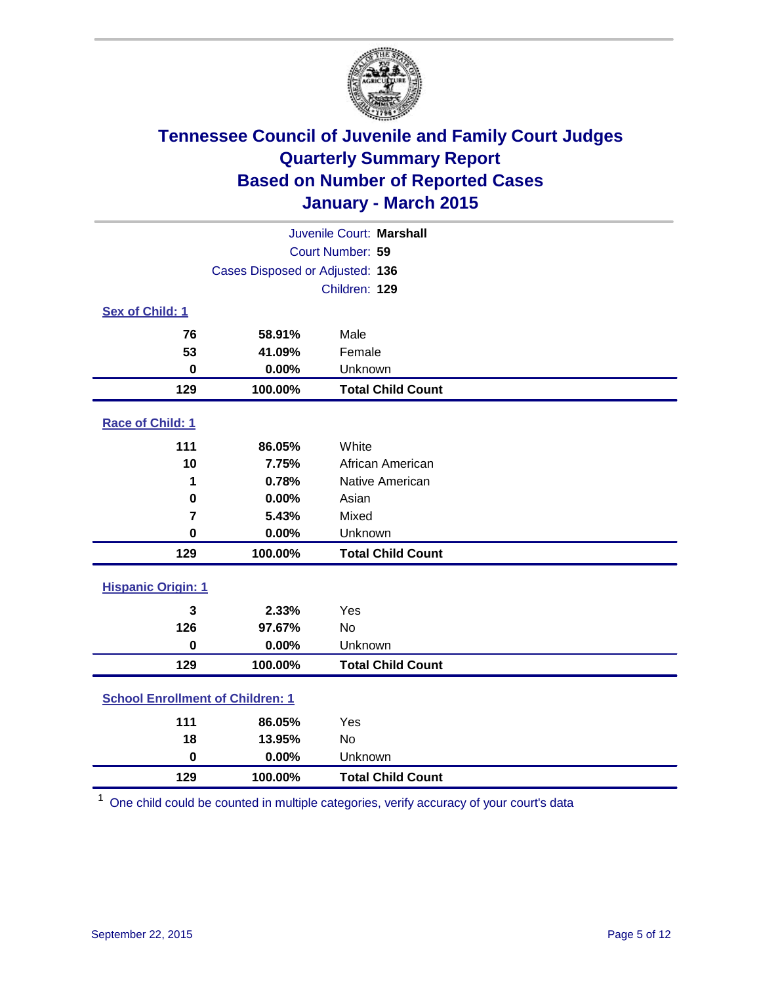

| Juvenile Court: Marshall                |                                 |                          |  |  |
|-----------------------------------------|---------------------------------|--------------------------|--|--|
| Court Number: 59                        |                                 |                          |  |  |
|                                         | Cases Disposed or Adjusted: 136 |                          |  |  |
|                                         |                                 | Children: 129            |  |  |
| <b>Sex of Child: 1</b>                  |                                 |                          |  |  |
| 76                                      | 58.91%                          | Male                     |  |  |
| 53                                      | 41.09%                          | Female                   |  |  |
| $\bf{0}$                                | 0.00%                           | Unknown                  |  |  |
| 129                                     | 100.00%                         | <b>Total Child Count</b> |  |  |
| Race of Child: 1                        |                                 |                          |  |  |
| 111                                     | 86.05%                          | White                    |  |  |
| 10                                      | 7.75%                           | African American         |  |  |
| 1                                       | 0.78%                           | Native American          |  |  |
| $\mathbf 0$                             | 0.00%                           | Asian                    |  |  |
| $\overline{7}$                          | 5.43%                           | Mixed                    |  |  |
| $\bf{0}$                                | 0.00%                           | Unknown                  |  |  |
| 129                                     | 100.00%                         | <b>Total Child Count</b> |  |  |
| <b>Hispanic Origin: 1</b>               |                                 |                          |  |  |
| 3                                       | 2.33%                           | Yes                      |  |  |
| 126                                     | 97.67%                          | No                       |  |  |
| $\mathbf 0$                             | 0.00%                           | Unknown                  |  |  |
| 129                                     | 100.00%                         | <b>Total Child Count</b> |  |  |
| <b>School Enrollment of Children: 1</b> |                                 |                          |  |  |
| 111                                     | 86.05%                          | Yes                      |  |  |
| 18                                      | 13.95%                          | No                       |  |  |
| $\mathbf 0$                             | 0.00%                           | Unknown                  |  |  |
| 129                                     | 100.00%                         | <b>Total Child Count</b> |  |  |

One child could be counted in multiple categories, verify accuracy of your court's data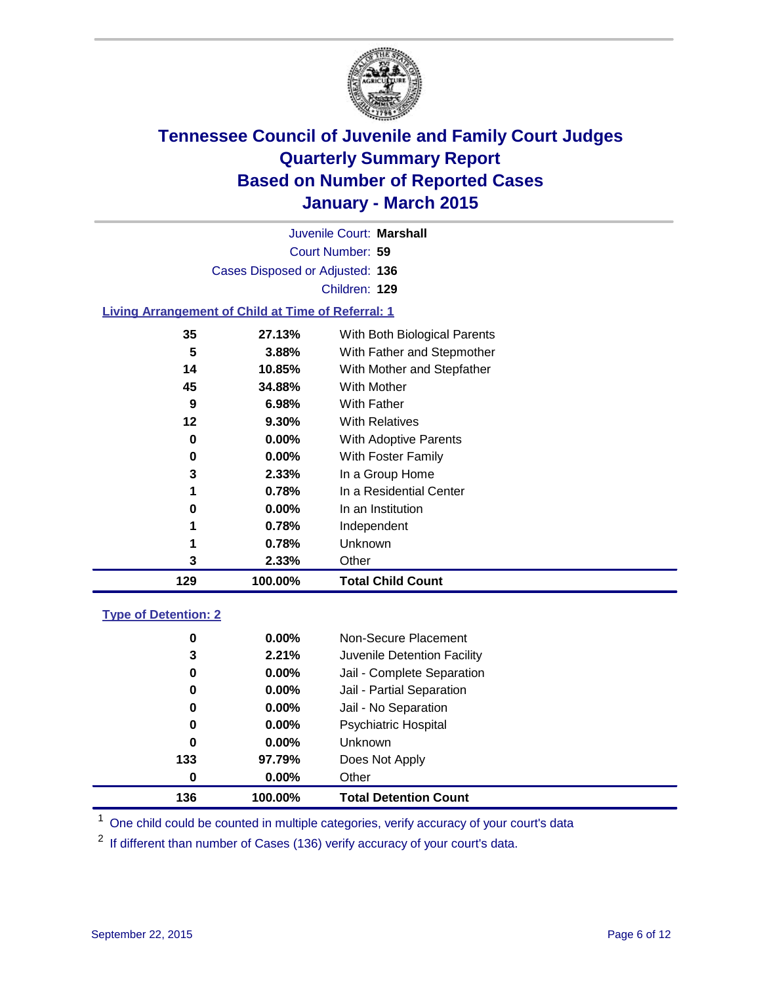

| Juvenile Court: Marshall                                  |  |
|-----------------------------------------------------------|--|
| Court Number: 59                                          |  |
| Cases Disposed or Adjusted: 136                           |  |
| Children: 129                                             |  |
| <b>Living Arrangement of Child at Time of Referral: 1</b> |  |

| 129 | 100.00%  | <b>Total Child Count</b>     |
|-----|----------|------------------------------|
| 3   | 2.33%    | Other                        |
| 1   | 0.78%    | Unknown                      |
| 1   | 0.78%    | Independent                  |
| 0   | $0.00\%$ | In an Institution            |
| 1   | 0.78%    | In a Residential Center      |
| 3   | 2.33%    | In a Group Home              |
| 0   | $0.00\%$ | With Foster Family           |
| 0   | $0.00\%$ | <b>With Adoptive Parents</b> |
| 12  | 9.30%    | <b>With Relatives</b>        |
| 9   | 6.98%    | With Father                  |
| 45  | 34.88%   | With Mother                  |
| 14  | 10.85%   | With Mother and Stepfather   |
| 5   | 3.88%    | With Father and Stepmother   |
| 35  | 27.13%   | With Both Biological Parents |

### **Type of Detention: 2**

| 136 | 100.00%       | <b>Total Detention Count</b> |
|-----|---------------|------------------------------|
|     | 0.00%<br>0    | Other                        |
| 133 | 97.79%        | Does Not Apply               |
|     | 0<br>$0.00\%$ | Unknown                      |
|     | 0<br>$0.00\%$ | <b>Psychiatric Hospital</b>  |
|     | $0.00\%$<br>0 | Jail - No Separation         |
|     | 0.00%<br>0    | Jail - Partial Separation    |
|     | 0<br>$0.00\%$ | Jail - Complete Separation   |
|     | 2.21%<br>3    | Juvenile Detention Facility  |
|     | 0.00%<br>0    | Non-Secure Placement         |

<sup>1</sup> One child could be counted in multiple categories, verify accuracy of your court's data

If different than number of Cases (136) verify accuracy of your court's data.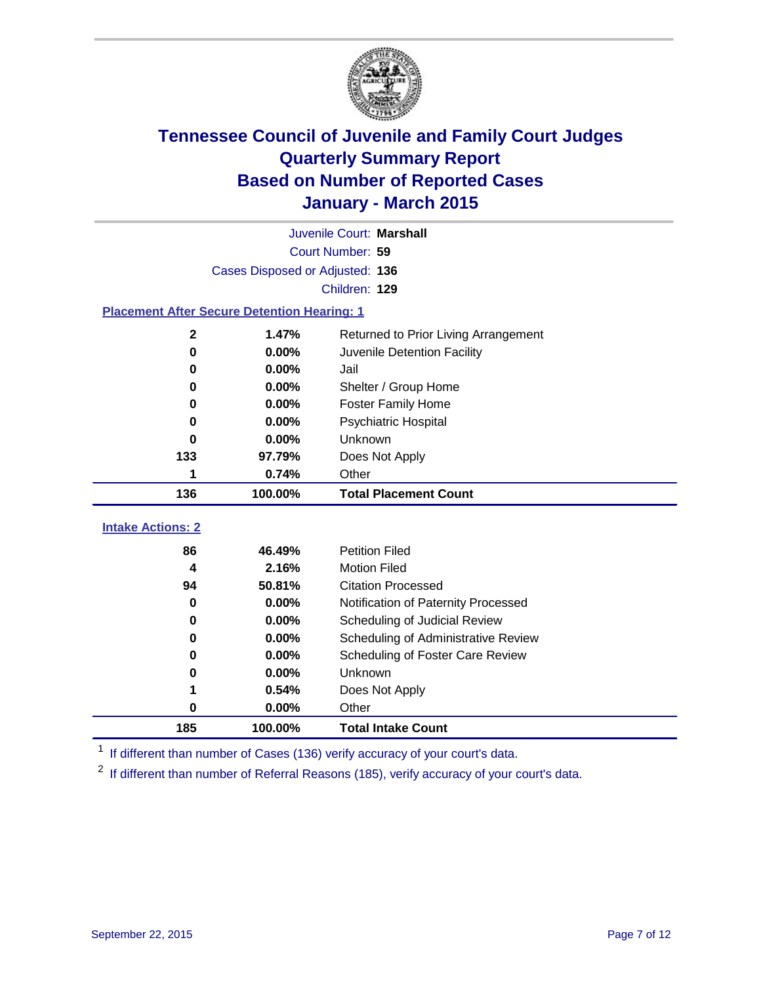

|                                                    | Juvenile Court: Marshall        |                                      |  |  |  |  |
|----------------------------------------------------|---------------------------------|--------------------------------------|--|--|--|--|
|                                                    | Court Number: 59                |                                      |  |  |  |  |
|                                                    | Cases Disposed or Adjusted: 136 |                                      |  |  |  |  |
|                                                    | Children: 129                   |                                      |  |  |  |  |
| <b>Placement After Secure Detention Hearing: 1</b> |                                 |                                      |  |  |  |  |
| $\mathbf 2$                                        | 1.47%                           | Returned to Prior Living Arrangement |  |  |  |  |
| $\bf{0}$                                           | 0.00%                           | Juvenile Detention Facility          |  |  |  |  |
| 0                                                  | 0.00%                           | Jail                                 |  |  |  |  |
| 0                                                  | 0.00%                           | Shelter / Group Home                 |  |  |  |  |
| $\bf{0}$                                           | 0.00%                           | <b>Foster Family Home</b>            |  |  |  |  |
| 0                                                  | 0.00%                           | <b>Psychiatric Hospital</b>          |  |  |  |  |
| 0                                                  | 0.00%                           | Unknown                              |  |  |  |  |
| 133                                                | 97.79%                          | Does Not Apply                       |  |  |  |  |
| 1                                                  | 0.74%                           | Other                                |  |  |  |  |
| 136                                                | 100.00%                         | <b>Total Placement Count</b>         |  |  |  |  |
| <b>Intake Actions: 2</b>                           |                                 |                                      |  |  |  |  |
|                                                    |                                 |                                      |  |  |  |  |
| 86                                                 | 46.49%                          | <b>Petition Filed</b>                |  |  |  |  |
| 4                                                  | 2.16%                           | <b>Motion Filed</b>                  |  |  |  |  |
| 94                                                 | 50.81%                          | <b>Citation Processed</b>            |  |  |  |  |
| 0                                                  | 0.00%                           | Notification of Paternity Processed  |  |  |  |  |
| $\bf{0}$                                           | 0.00%                           | Scheduling of Judicial Review        |  |  |  |  |
| 0                                                  | 0.00%                           | Scheduling of Administrative Review  |  |  |  |  |
| 0                                                  | 0.00%                           | Scheduling of Foster Care Review     |  |  |  |  |
| 0                                                  | 0.00%                           | Unknown                              |  |  |  |  |
| 1                                                  | 0.54%                           | Does Not Apply                       |  |  |  |  |
| $\bf{0}$                                           | 0.00%                           | Other                                |  |  |  |  |
| 185                                                | 100.00%                         | <b>Total Intake Count</b>            |  |  |  |  |

<sup>1</sup> If different than number of Cases (136) verify accuracy of your court's data.

<sup>2</sup> If different than number of Referral Reasons (185), verify accuracy of your court's data.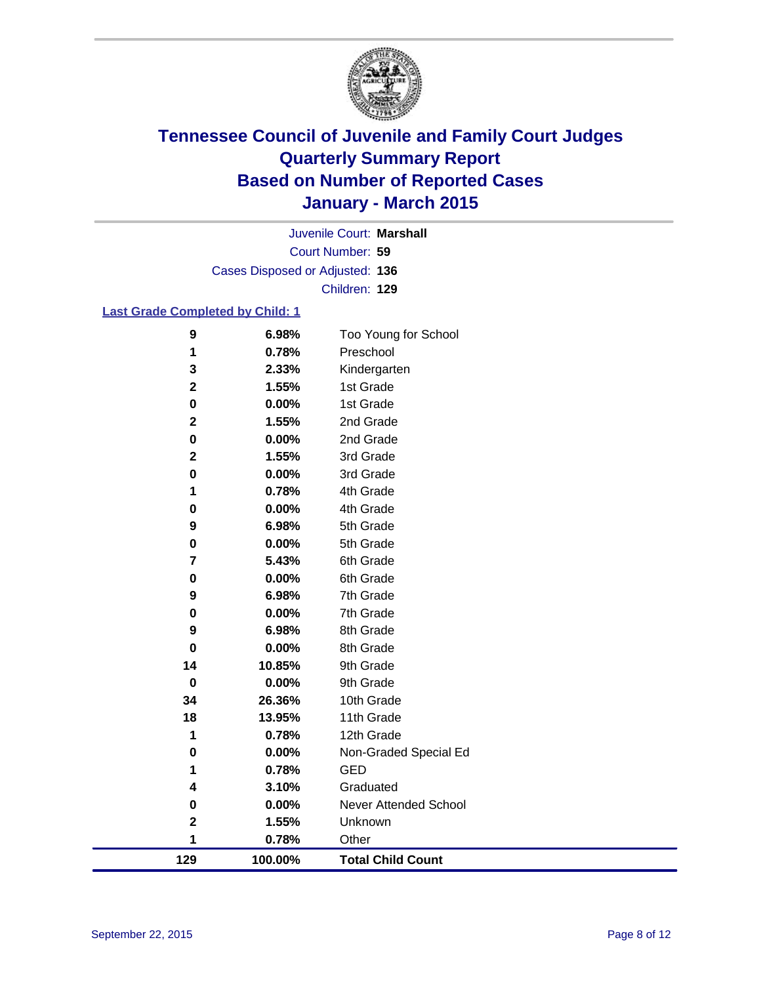

Court Number: **59** Juvenile Court: **Marshall** Cases Disposed or Adjusted: **136** Children: **129**

### **Last Grade Completed by Child: 1**

| 9                       | 6.98%    | Too Young for School     |
|-------------------------|----------|--------------------------|
| 1                       | 0.78%    | Preschool                |
| 3                       | 2.33%    | Kindergarten             |
| $\mathbf 2$             | 1.55%    | 1st Grade                |
| 0                       | 0.00%    | 1st Grade                |
| 2                       | 1.55%    | 2nd Grade                |
| 0                       | 0.00%    | 2nd Grade                |
| $\mathbf 2$             | 1.55%    | 3rd Grade                |
| 0                       | 0.00%    | 3rd Grade                |
| 1                       | 0.78%    | 4th Grade                |
| 0                       | 0.00%    | 4th Grade                |
| 9                       | 6.98%    | 5th Grade                |
| 0                       | 0.00%    | 5th Grade                |
| $\overline{\mathbf{r}}$ | 5.43%    | 6th Grade                |
| 0                       | 0.00%    | 6th Grade                |
| 9                       | 6.98%    | 7th Grade                |
| 0                       | 0.00%    | 7th Grade                |
| 9                       | 6.98%    | 8th Grade                |
| 0                       | 0.00%    | 8th Grade                |
| 14                      | 10.85%   | 9th Grade                |
| 0                       | 0.00%    | 9th Grade                |
| 34                      | 26.36%   | 10th Grade               |
| 18                      | 13.95%   | 11th Grade               |
| 1                       | 0.78%    | 12th Grade               |
| $\bf{0}$                | 0.00%    | Non-Graded Special Ed    |
| 1                       | 0.78%    | <b>GED</b>               |
| 4                       | 3.10%    | Graduated                |
| 0                       | $0.00\%$ | Never Attended School    |
| $\mathbf 2$             | 1.55%    | Unknown                  |
| 1                       | 0.78%    | Other                    |
| 129                     | 100.00%  | <b>Total Child Count</b> |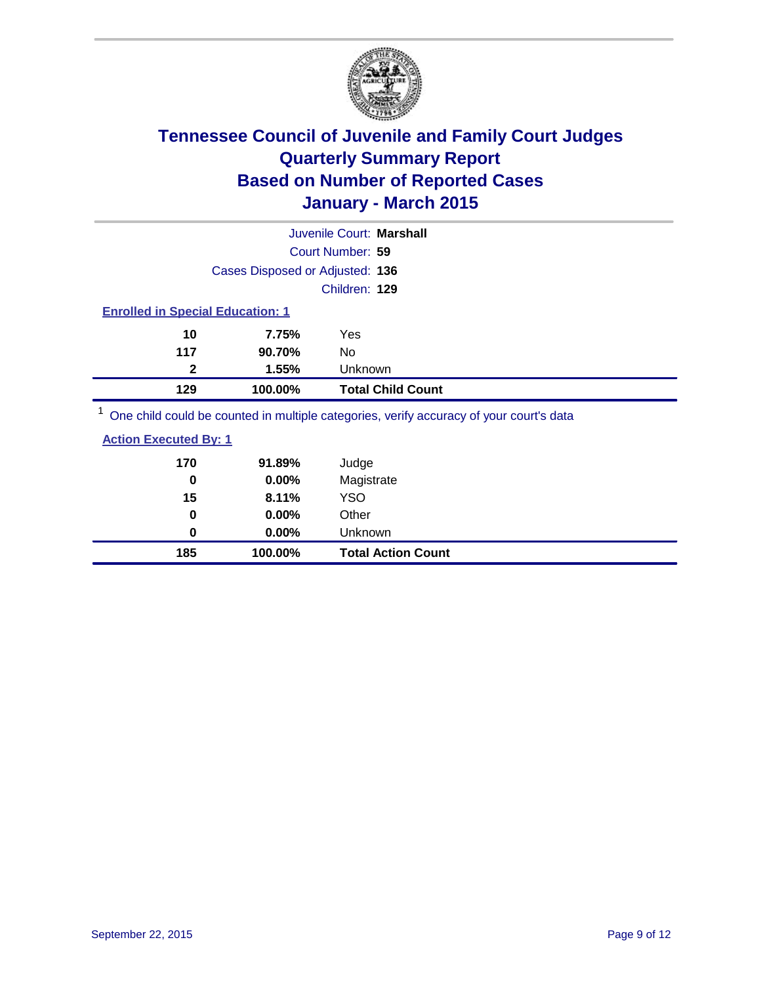

|                                                                                         |                                 | Juvenile Court: Marshall |
|-----------------------------------------------------------------------------------------|---------------------------------|--------------------------|
|                                                                                         |                                 | Court Number: 59         |
|                                                                                         | Cases Disposed or Adjusted: 136 |                          |
|                                                                                         |                                 | Children: 129            |
| <b>Enrolled in Special Education: 1</b>                                                 |                                 |                          |
| 10                                                                                      | 7.75%                           | Yes                      |
| 117                                                                                     | 90.70%                          | No                       |
| 2                                                                                       | 1.55%                           | Unknown                  |
| 129                                                                                     | 100.00%                         | <b>Total Child Count</b> |
| One child could be counted in multiple categories, verify accuracy of your court's data |                                 |                          |

|                              | <u>ono orma od ara so doamoa minnanapro darogondoj romij addaracijor joan doarro aara</u> |  |  |
|------------------------------|-------------------------------------------------------------------------------------------|--|--|
| <b>Action Executed By: 1</b> |                                                                                           |  |  |

| 185 | 100.00%  | <b>Total Action Count</b> |
|-----|----------|---------------------------|
| 0   | 0.00%    | Unknown                   |
| 0   | $0.00\%$ | Other                     |
| 15  | 8.11%    | <b>YSO</b>                |
| 0   | 0.00%    | Magistrate                |
| 170 | 91.89%   | Judge                     |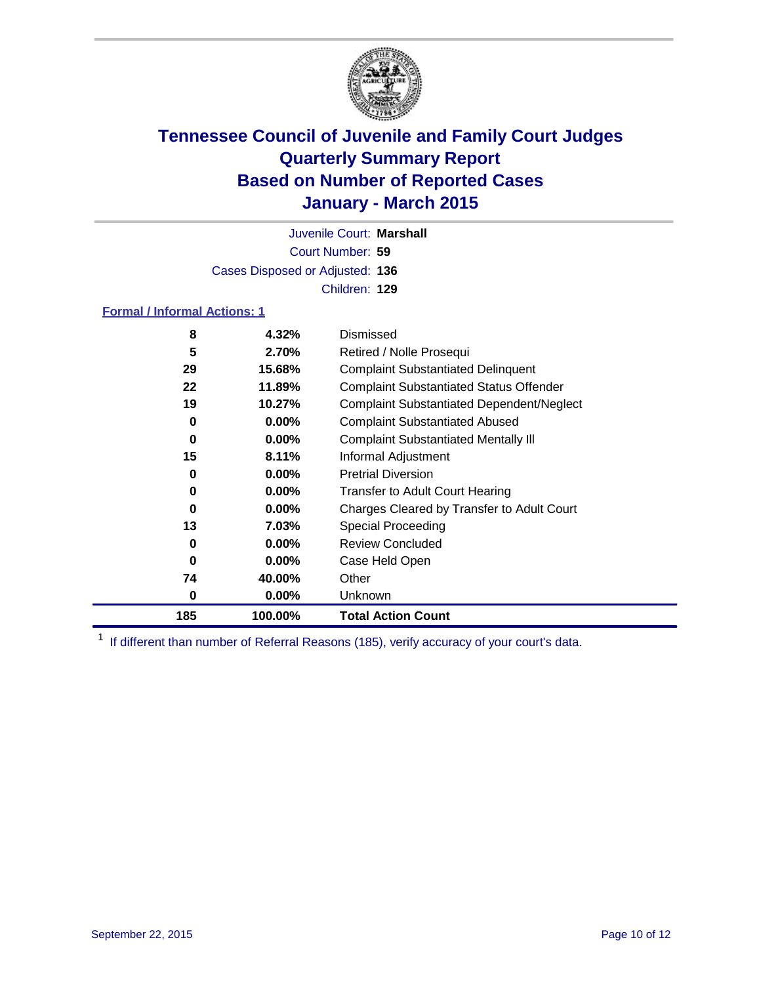

Court Number: **59** Juvenile Court: **Marshall** Cases Disposed or Adjusted: **136** Children: **129**

#### **Formal / Informal Actions: 1**

| 8   | 4.32%    | Dismissed                                        |
|-----|----------|--------------------------------------------------|
| 5   | 2.70%    | Retired / Nolle Prosequi                         |
| 29  | 15.68%   | <b>Complaint Substantiated Delinquent</b>        |
| 22  | 11.89%   | <b>Complaint Substantiated Status Offender</b>   |
| 19  | 10.27%   | <b>Complaint Substantiated Dependent/Neglect</b> |
| 0   | $0.00\%$ | <b>Complaint Substantiated Abused</b>            |
| 0   | $0.00\%$ | <b>Complaint Substantiated Mentally III</b>      |
| 15  | 8.11%    | Informal Adjustment                              |
| 0   | $0.00\%$ | <b>Pretrial Diversion</b>                        |
| 0   | $0.00\%$ | <b>Transfer to Adult Court Hearing</b>           |
| 0   | $0.00\%$ | Charges Cleared by Transfer to Adult Court       |
| 13  | 7.03%    | Special Proceeding                               |
| 0   | $0.00\%$ | <b>Review Concluded</b>                          |
| 0   | $0.00\%$ | Case Held Open                                   |
| 74  | 40.00%   | Other                                            |
| 0   | $0.00\%$ | Unknown                                          |
| 185 | 100.00%  | <b>Total Action Count</b>                        |

<sup>1</sup> If different than number of Referral Reasons (185), verify accuracy of your court's data.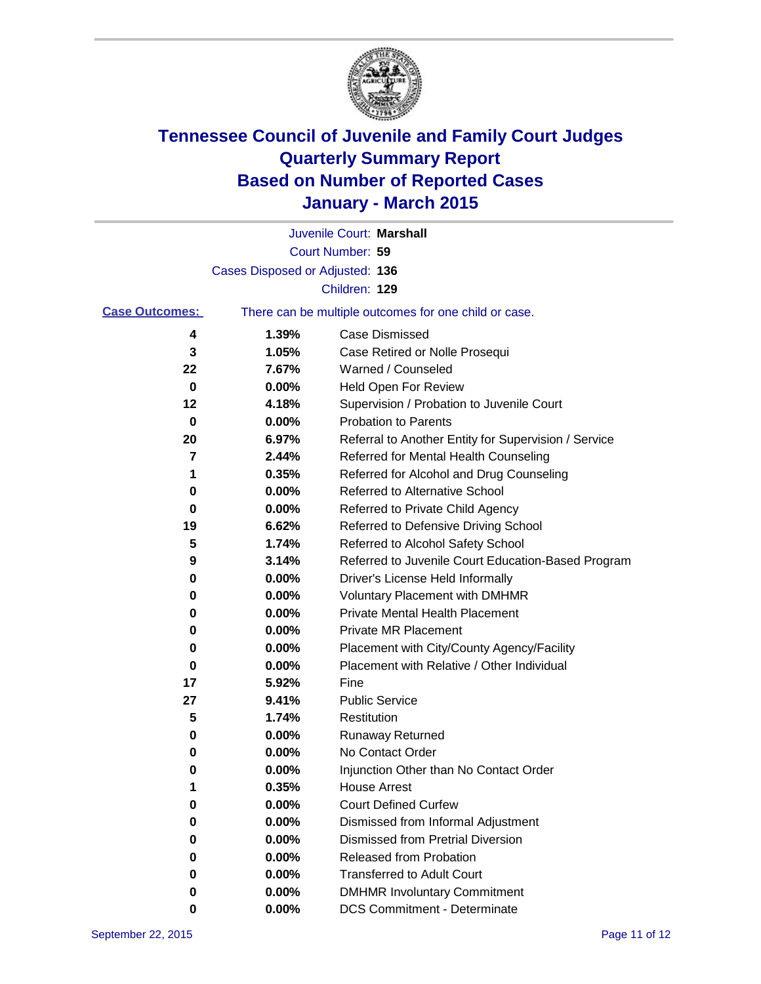

|                       |                                 | Juvenile Court: Marshall                              |
|-----------------------|---------------------------------|-------------------------------------------------------|
|                       |                                 | Court Number: 59                                      |
|                       | Cases Disposed or Adjusted: 136 |                                                       |
|                       |                                 | Children: 129                                         |
| <b>Case Outcomes:</b> |                                 | There can be multiple outcomes for one child or case. |
| 4                     | 1.39%                           | Case Dismissed                                        |
| 3                     | 1.05%                           | Case Retired or Nolle Prosequi                        |
| 22                    | 7.67%                           | Warned / Counseled                                    |
| 0                     | 0.00%                           | Held Open For Review                                  |
| 12                    | 4.18%                           | Supervision / Probation to Juvenile Court             |
| 0                     | 0.00%                           | <b>Probation to Parents</b>                           |
| 20                    | 6.97%                           | Referral to Another Entity for Supervision / Service  |
| 7                     | 2.44%                           | Referred for Mental Health Counseling                 |
| 1                     | 0.35%                           | Referred for Alcohol and Drug Counseling              |
| 0                     | 0.00%                           | Referred to Alternative School                        |
| 0                     | 0.00%                           | Referred to Private Child Agency                      |
| 19                    | 6.62%                           | Referred to Defensive Driving School                  |
| 5                     | 1.74%                           | Referred to Alcohol Safety School                     |
| 9                     | 3.14%                           | Referred to Juvenile Court Education-Based Program    |
| 0                     | 0.00%                           | Driver's License Held Informally                      |
| 0                     | 0.00%                           | <b>Voluntary Placement with DMHMR</b>                 |
| 0                     | 0.00%                           | <b>Private Mental Health Placement</b>                |
| 0                     | 0.00%                           | <b>Private MR Placement</b>                           |
| 0                     | 0.00%                           | Placement with City/County Agency/Facility            |
| 0                     | 0.00%                           | Placement with Relative / Other Individual            |
| 17                    | 5.92%                           | Fine                                                  |
| 27                    | 9.41%                           | <b>Public Service</b>                                 |
| 5                     | 1.74%                           | Restitution                                           |
| 0                     | 0.00%                           | <b>Runaway Returned</b>                               |
| 0                     | 0.00%                           | No Contact Order                                      |
| 0                     | 0.00%                           | Injunction Other than No Contact Order                |
| 1                     | 0.35%                           | <b>House Arrest</b>                                   |
| 0                     | 0.00%                           | <b>Court Defined Curfew</b>                           |
| 0                     | 0.00%                           | Dismissed from Informal Adjustment                    |
| 0                     | 0.00%                           | <b>Dismissed from Pretrial Diversion</b>              |
| 0                     | 0.00%                           | Released from Probation                               |
| 0                     | 0.00%                           | <b>Transferred to Adult Court</b>                     |
| 0                     | 0.00%                           | <b>DMHMR Involuntary Commitment</b>                   |
| 0                     | $0.00\%$                        | <b>DCS Commitment - Determinate</b>                   |